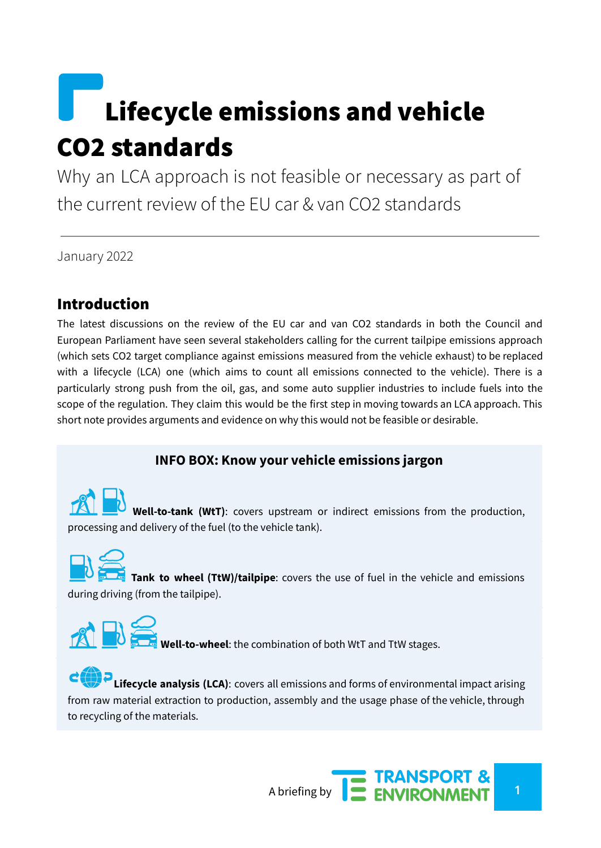# Lifecycle emissions and vehicle CO2 standards

Why an LCA approach is not feasible or necessary as part of the current review of the EU car & van CO2 standards

January 2022

### Introduction

The latest discussions on the review of the EU car and van CO2 standards in both the Council and European Parliament have seen several stakeholders calling for the current tailpipe emissions approach (which sets CO2 target compliance against emissions measured from the vehicle exhaust) to be replaced with a lifecycle (LCA) one (which aims to count all emissions connected to the vehicle). There is a particularly strong push from the oil, gas, and some auto supplier industries to include fuels into the scope of the regulation. They claim this would be the first step in moving towards an LCA approach. This short note provides arguments and evidence on why this would not be feasible or desirable.

#### **INFO BOX: Know your vehicle emissions jargon**

**Well-to-tank (WtT)**: covers upstream or indirect emissions from the production, processing and delivery of the fuel (to the vehicle tank).

**Tank to wheel (TtW)/tailpipe**: covers the use of fuel in the vehicle and emissions during driving (from the tailpipe).



**Lifecycle analysis (LCA)**: covers all emissions and forms of environmental impact arising from raw material extraction to production, assembly and the usage phase of the vehicle, through to recycling of the materials.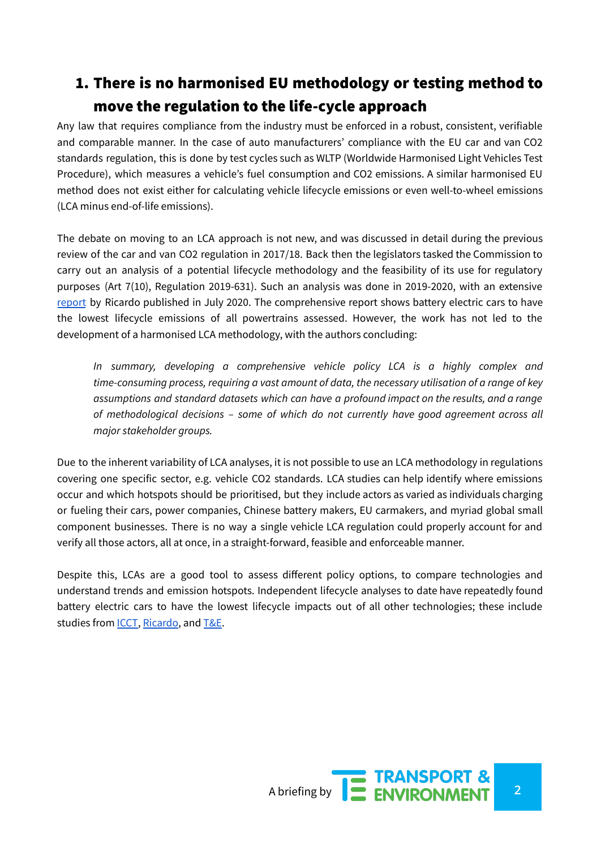## 1. There is no harmonised EU methodology or testing method to move the regulation to the life-cycle approach

Any law that requires compliance from the industry must be enforced in a robust, consistent, verifiable and comparable manner. In the case of auto manufacturers' compliance with the EU car and van CO2 standards regulation, this is done by test cycles such as WLTP (Worldwide Harmonised Light Vehicles Test Procedure), which measures a vehicle's fuel consumption and CO2 emissions. A similar harmonised EU method does not exist either for calculating vehicle lifecycle emissions or even well-to-wheel emissions (LCA minus end-of-life emissions).

The debate on moving to an LCA approach is not new, and was discussed in detail during the previous review of the car and van CO2 regulation in 2017/18. Back then the legislators tasked the Commission to carry out an analysis of a potential lifecycle methodology and the feasibility of its use for regulatory purposes (Art 7(10), Regulation 2019-631). Such an analysis was done in 2019-2020, with an extensive [report](https://op.europa.eu/en/publication-detail/-/publication/1f494180-bc0e-11ea-811c-01aa75ed71a1) by Ricardo published in July 2020. The comprehensive report shows battery electric cars to have the lowest lifecycle emissions of all powertrains assessed. However, the work has not led to the development of a harmonised LCA methodology, with the authors concluding:

*In summary, developing a comprehensive vehicle policy LCA is a highly complex and time-consuming process, requiring a vast amount of data, the necessary utilisation of a range of key assumptions and standard datasets which can have a profound impact on the results, and a range of methodological decisions – some of which do not currently have good agreement across all major stakeholder groups.*

Due to the inherent variability of LCA analyses, it is not possible to use an LCA methodology in regulations covering one specific sector, e.g. vehicle CO2 standards. LCA studies can help identify where emissions occur and which hotspots should be prioritised, but they include actors as varied as individuals charging or fueling their cars, power companies, Chinese battery makers, EU carmakers, and myriad global small component businesses. There is no way a single vehicle LCA regulation could properly account for and verify all those actors, all at once, in a straight-forward, feasible and enforceable manner.

Despite this, LCAs are a good tool to assess different policy options, to compare technologies and understand trends and emission hotspots. Independent lifecycle analyses to date have repeatedly found battery electric cars to have the lowest lifecycle impacts out of all other technologies; these include studies from [ICCT,](https://theicct.org/publications/global-LCA-passenger-cars-jul2021) [Ricardo,](https://ec.europa.eu/clima/system/files/2020-09/2020_study_main_report_en.pdf) and [T&E](https://www.transportenvironment.org/wp-content/uploads/2020/04/TEs-EV-life-cycle-analysis-LCA.pdf).

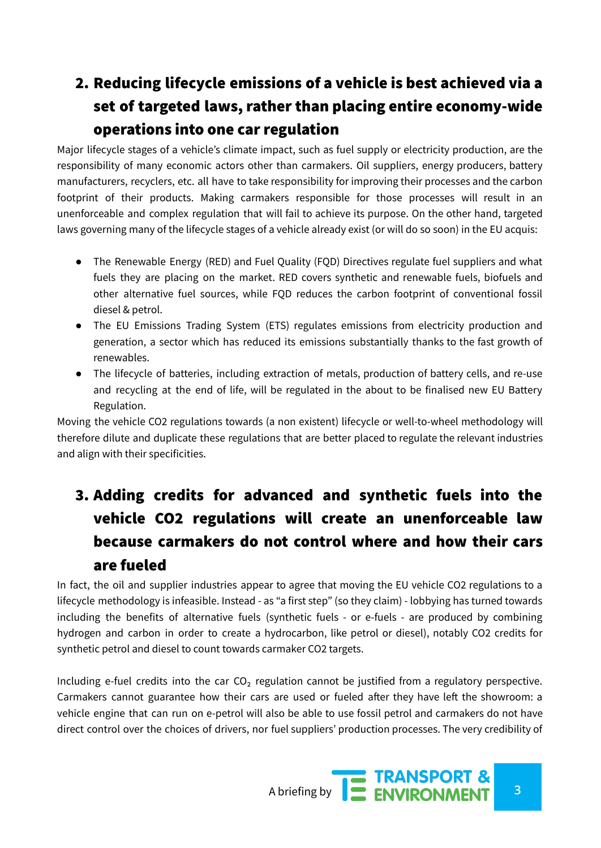## 2. Reducing lifecycle emissions of a vehicle is best achieved via a set of targeted laws, rather than placing entire economy-wide operations into one car regulation

Major lifecycle stages of a vehicle's climate impact, such as fuel supply or electricity production, are the responsibility of many economic actors other than carmakers. Oil suppliers, energy producers, battery manufacturers, recyclers, etc. all have to take responsibility for improving their processes and the carbon footprint of their products. Making carmakers responsible for those processes will result in an unenforceable and complex regulation that will fail to achieve its purpose. On the other hand, targeted laws governing many of the lifecycle stages of a vehicle already exist (or will do so soon) in the EU acquis:

- The Renewable Energy (RED) and Fuel Quality (FQD) Directives regulate fuel suppliers and what fuels they are placing on the market. RED covers synthetic and renewable fuels, biofuels and other alternative fuel sources, while FQD reduces the carbon footprint of conventional fossil diesel & petrol.
- The EU Emissions Trading System (ETS) regulates emissions from electricity production and generation, a sector which has reduced its emissions substantially thanks to the fast growth of renewables.
- The lifecycle of batteries, including extraction of metals, production of battery cells, and re-use and recycling at the end of life, will be regulated in the about to be finalised new EU Battery Regulation.

Moving the vehicle CO2 regulations towards (a non existent) lifecycle or well-to-wheel methodology will therefore dilute and duplicate these regulations that are better placed to regulate the relevant industries and align with their specificities.

## 3. Adding credits for advanced and synthetic fuels into the vehicle CO2 regulations will create an unenforceable law because carmakers do not control where and how their cars are fueled

In fact, the oil and supplier industries appear to agree that moving the EU vehicle CO2 regulations to a lifecycle methodology is infeasible. Instead - as "a first step" (so they claim) - lobbying has turned towards including the benefits of alternative fuels (synthetic fuels - or e-fuels - are produced by combining hydrogen and carbon in order to create a hydrocarbon, like petrol or diesel), notably CO2 credits for synthetic petrol and diesel to count towards carmaker CO2 targets.

Including e-fuel credits into the car  $CO<sub>2</sub>$  regulation cannot be justified from a regulatory perspective. Carmakers cannot guarantee how their cars are used or fueled after they have left the showroom: a vehicle engine that can run on e-petrol will also be able to use fossil petrol and carmakers do not have direct control over the choices of drivers, nor fuel suppliers' production processes. The very credibility of

A briefing by **3**<br>A briefing by **3**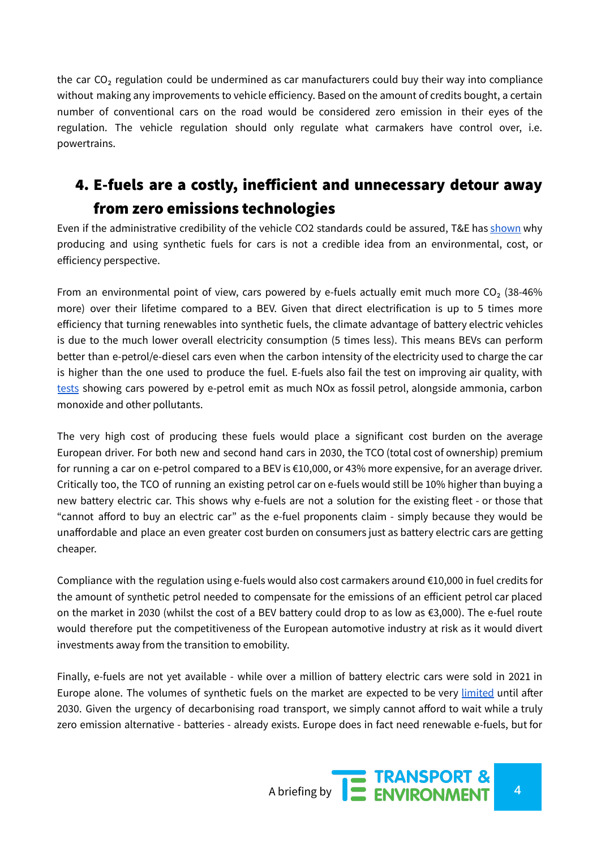the car  $CO<sub>2</sub>$  regulation could be undermined as car manufacturers could buy their way into compliance without making any improvements to vehicle efficiency. Based on the amount of credits bought, a certain number of conventional cars on the road would be considered zero emission in their eyes of the regulation. The vehicle regulation should only regulate what carmakers have control over, i.e. powertrains.

## 4. E-fuels are a costly, inefficient and unnecessary detour away from zero emissions technologies

Even if the administrative credibility of the vehicle CO2 standards could be assured, T&E has [shown](https://www.transportenvironment.org/wp-content/uploads/2021/07/2021_Efuels_in_cars_briefing.pdf) why producing and using synthetic fuels for cars is not a credible idea from an environmental, cost, or efficiency perspective.

From an environmental point of view, cars powered by e-fuels actually emit much more  $CO<sub>2</sub>$  (38-46%) more) over their lifetime compared to a BEV. Given that direct electrification is up to 5 times more efficiency that turning renewables into synthetic fuels, the climate advantage of battery electric vehicles is due to the much lower overall electricity consumption (5 times less). This means BEVs can perform better than e-petrol/e-diesel cars even when the carbon intensity of the electricity used to charge the car is higher than the one used to produce the fuel. E-fuels also fail the test on improving air quality, with [tests](https://www.transportenvironment.org/discover/in-tests-cars-powered-by-e-petrol-pollute-the-air-as-much-as-petrol/) showing cars powered by e-petrol emit as much NOx as fossil petrol, alongside ammonia, carbon monoxide and other pollutants.

The very high cost of producing these fuels would place a significant cost burden on the average European driver. For both new and second hand cars in 2030, the TCO (total cost of ownership) premium for running a car on e-petrol compared to a BEV is €10,000, or 43% more expensive, for an average driver. Critically too, the TCO of running an existing petrol car on e-fuels would still be 10% higher than buying a new battery electric car. This shows why e-fuels are not a solution for the existing fleet - or those that "cannot afford to buy an electric car" as the e-fuel proponents claim - simply because they would be unaffordable and place an even greater cost burden on consumers just as battery electric cars are getting cheaper.

Compliance with the regulation using e-fuels would also cost carmakers around €10,000 in fuel credits for the amount of synthetic petrol needed to compensate for the emissions of an efficient petrol car placed on the market in 2030 (whilst the cost of a BEV battery could drop to as low as €3,000). The e-fuel route would therefore put the competitiveness of the European automotive industry at risk as it would divert investments away from the transition to emobility.

Finally, e-fuels are not yet available - while over a million of battery electric cars were sold in 2021 in Europe alone. The volumes of synthetic fuels on the market are expected to be very [limited](https://theicct.org/sites/default/files/publications/CO2-based-synthetic-fuel-EU-assessment_ICCT-consultant-report_14112017_vF_2.pdf) until after 2030. Given the urgency of decarbonising road transport, we simply cannot afford to wait while a truly zero emission alternative - batteries - already exists. Europe does in fact need renewable e-fuels, but for

A briefing by **4 ENVIRONMENT**